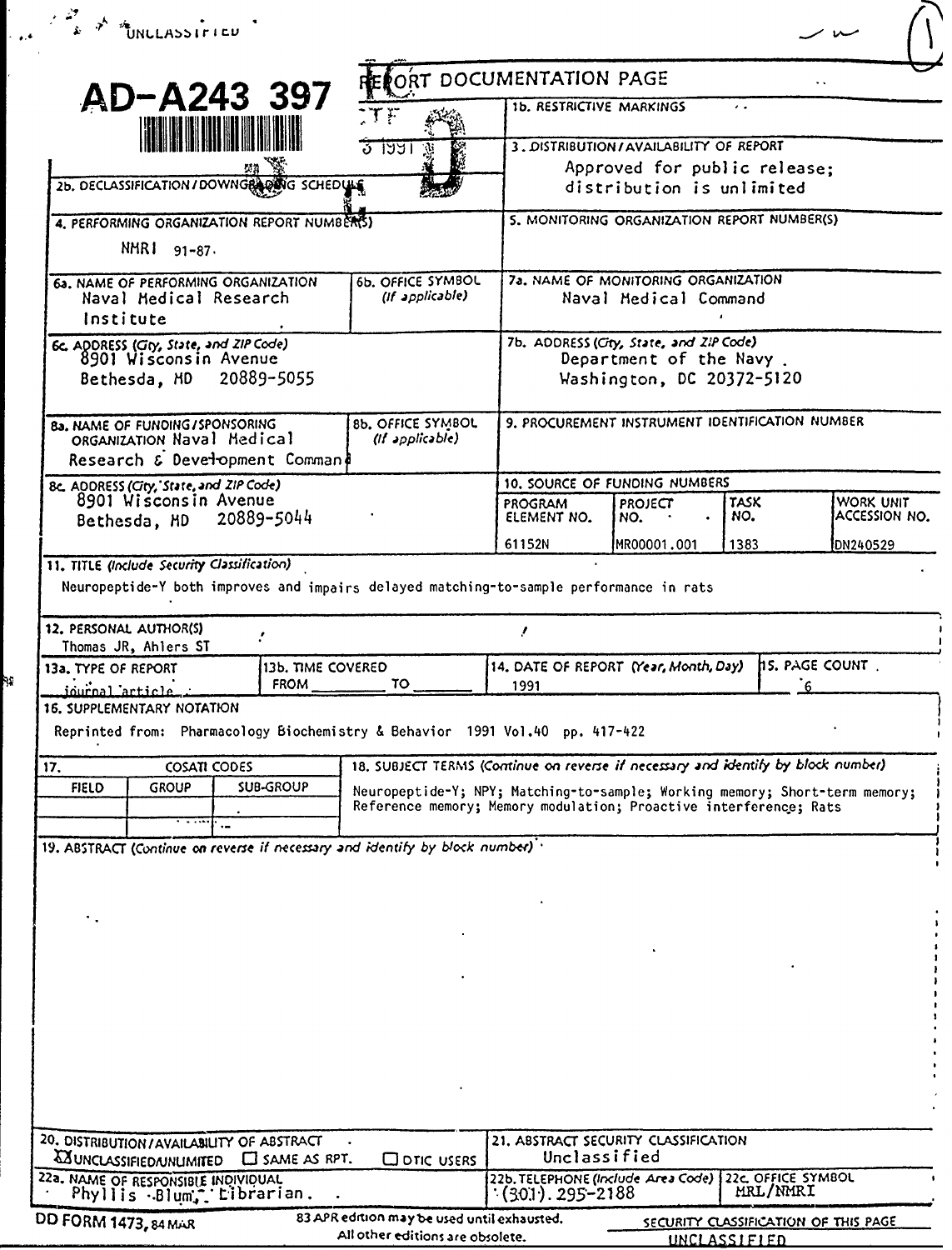| <b>ELORT DOCUMENTATION PAGE</b><br>AD-A243 397<br><b>1b. RESTRICTIVE MARKINGS</b><br>. .<br>t F<br><u>Manazarta</u><br>3. DISTRIBUTION/AVAILABILITY OF REPORT<br><u>रु 1991 ख़</u><br>Approved for public release:<br>2b. DECLASSIFICATION / DOWNGRADING SCHEDULE<br>distribution is unlimited<br>5. MONITORING ORGANIZATION REPORT NUMBER(S)<br>4. PERFORMING ORGANIZATION REPORT NUMBER(S)<br>NMR1 91-87.<br>78. NAME OF MONITORING ORGANIZATION<br>6b. OFFICE SYMBOL<br><b>6a. NAME OF PERFORMING ORGANIZATION</b><br>(If applicable)<br>Naval Hedical Research<br>Naval Medical Command<br>Institute<br>7b. ADDRESS (City, State, and ZIP Code)<br>6c. ADDRESS (Gty, State, and ZIP Code)<br>8901 Wisconsin Avenue<br>Department of the Navy.<br>Bethesda, MD 20889-5055<br>Washington, DC 20372-5120<br>9. PROCUREMENT INSTRUMENT IDENTIFICATION NUMBER<br>8b. OFFICE SYMBOL<br><b>83. NAME OF FUNDING/SPONSORING</b><br>ORGANIZATION Naval Medical<br>(If applicable)<br>Research & Development Comman!<br>10. SOURCE OF FUNDING NUMBERS<br>8c. ADDRESS (City, State, and ZIP Code)<br>8901 Wisconsin Avenue<br>WORK UNIT<br><b>TASK</b><br><b>PROGRAM</b><br>PROJECT<br>ACCESSION NO.<br>20889-5044<br>NO.<br>ELEMENT NO.<br>NO.<br>Bethesda, HD<br>61152N<br>MR00001.001<br>1383<br>IDN240529<br>11. TITLE (Include Security Classification)<br>Neuropeptide-Y both improves and impairs delayed matching-to-sample performance in rats<br>12. PERSONAL AUTHOR(S)<br>ı<br>Thomas JR, Ahlers ST<br><b>hs. PAGE COUNT</b> .<br>14. DATE OF REPORT (Year, Month, Day)<br>13b. TIME COVERED<br>13a, TYPE OF REPORT<br>TO <sub>2</sub><br>$FROM$ <sub>___</sub><br>`6<br>1991<br>iournal article<br>16. SUPPLEMENTARY NOTATION<br>Reprinted from: Pharmacology Biochemistry & Behavior 1991 Vol.40 pp. 417-422<br>18. SUBJECT TERMS (Continue on reverse if necessary and identify by block number)<br><b>COSATI CODES</b><br>17.<br><b>SUB-GROUP</b><br><b>FIELD</b><br><b>GROUP</b><br>Neuropeptide-Y; NPY; Matching-to-sample; Working memory; Short-term memory;<br>Reference memory; Memory modulation; Proactive interference; Rats<br>19. ABSTRACT (Continue on reverse if necessary and identify by block number).<br>21. ABSTRACT SECURITY CLASSIFICATION<br>20. DISTRIBUTION/AVAILABILITY OF ABSTRACT<br>Unclassified<br><b>EX UNCLASSIFIED AUNUMITED</b><br>$\Box$ SAME AS RPT.<br>$\Box$ otic users<br>22b. TELEPHONE (Include Area Code) 22c. OFFICE SYMBOL<br>22a. NAME OF RESPONSIBLE INDIVIDUAL<br>MRL/NMRI<br>$(301)$ . 295–2188<br>$Phyllis -Blumj$ Eibrarian.<br>83 APR edition may be used until exhausted.<br>SECURITY CLASSIFICATION OF THIS PAGE |                      |  |  |  |  |  |  |  |
|----------------------------------------------------------------------------------------------------------------------------------------------------------------------------------------------------------------------------------------------------------------------------------------------------------------------------------------------------------------------------------------------------------------------------------------------------------------------------------------------------------------------------------------------------------------------------------------------------------------------------------------------------------------------------------------------------------------------------------------------------------------------------------------------------------------------------------------------------------------------------------------------------------------------------------------------------------------------------------------------------------------------------------------------------------------------------------------------------------------------------------------------------------------------------------------------------------------------------------------------------------------------------------------------------------------------------------------------------------------------------------------------------------------------------------------------------------------------------------------------------------------------------------------------------------------------------------------------------------------------------------------------------------------------------------------------------------------------------------------------------------------------------------------------------------------------------------------------------------------------------------------------------------------------------------------------------------------------------------------------------------------------------------------------------------------------------------------------------------------------------------------------------------------------------------------------------------------------------------------------------------------------------------------------------------------------------------------------------------------------------------------------------------------------------------------------------------------------------------------------------------------------------------------------------------------------------------------------------------------------------------------------------------------------------|----------------------|--|--|--|--|--|--|--|
|                                                                                                                                                                                                                                                                                                                                                                                                                                                                                                                                                                                                                                                                                                                                                                                                                                                                                                                                                                                                                                                                                                                                                                                                                                                                                                                                                                                                                                                                                                                                                                                                                                                                                                                                                                                                                                                                                                                                                                                                                                                                                                                                                                                                                                                                                                                                                                                                                                                                                                                                                                                                                                                                            |                      |  |  |  |  |  |  |  |
|                                                                                                                                                                                                                                                                                                                                                                                                                                                                                                                                                                                                                                                                                                                                                                                                                                                                                                                                                                                                                                                                                                                                                                                                                                                                                                                                                                                                                                                                                                                                                                                                                                                                                                                                                                                                                                                                                                                                                                                                                                                                                                                                                                                                                                                                                                                                                                                                                                                                                                                                                                                                                                                                            |                      |  |  |  |  |  |  |  |
|                                                                                                                                                                                                                                                                                                                                                                                                                                                                                                                                                                                                                                                                                                                                                                                                                                                                                                                                                                                                                                                                                                                                                                                                                                                                                                                                                                                                                                                                                                                                                                                                                                                                                                                                                                                                                                                                                                                                                                                                                                                                                                                                                                                                                                                                                                                                                                                                                                                                                                                                                                                                                                                                            |                      |  |  |  |  |  |  |  |
|                                                                                                                                                                                                                                                                                                                                                                                                                                                                                                                                                                                                                                                                                                                                                                                                                                                                                                                                                                                                                                                                                                                                                                                                                                                                                                                                                                                                                                                                                                                                                                                                                                                                                                                                                                                                                                                                                                                                                                                                                                                                                                                                                                                                                                                                                                                                                                                                                                                                                                                                                                                                                                                                            |                      |  |  |  |  |  |  |  |
|                                                                                                                                                                                                                                                                                                                                                                                                                                                                                                                                                                                                                                                                                                                                                                                                                                                                                                                                                                                                                                                                                                                                                                                                                                                                                                                                                                                                                                                                                                                                                                                                                                                                                                                                                                                                                                                                                                                                                                                                                                                                                                                                                                                                                                                                                                                                                                                                                                                                                                                                                                                                                                                                            |                      |  |  |  |  |  |  |  |
|                                                                                                                                                                                                                                                                                                                                                                                                                                                                                                                                                                                                                                                                                                                                                                                                                                                                                                                                                                                                                                                                                                                                                                                                                                                                                                                                                                                                                                                                                                                                                                                                                                                                                                                                                                                                                                                                                                                                                                                                                                                                                                                                                                                                                                                                                                                                                                                                                                                                                                                                                                                                                                                                            |                      |  |  |  |  |  |  |  |
|                                                                                                                                                                                                                                                                                                                                                                                                                                                                                                                                                                                                                                                                                                                                                                                                                                                                                                                                                                                                                                                                                                                                                                                                                                                                                                                                                                                                                                                                                                                                                                                                                                                                                                                                                                                                                                                                                                                                                                                                                                                                                                                                                                                                                                                                                                                                                                                                                                                                                                                                                                                                                                                                            |                      |  |  |  |  |  |  |  |
|                                                                                                                                                                                                                                                                                                                                                                                                                                                                                                                                                                                                                                                                                                                                                                                                                                                                                                                                                                                                                                                                                                                                                                                                                                                                                                                                                                                                                                                                                                                                                                                                                                                                                                                                                                                                                                                                                                                                                                                                                                                                                                                                                                                                                                                                                                                                                                                                                                                                                                                                                                                                                                                                            |                      |  |  |  |  |  |  |  |
|                                                                                                                                                                                                                                                                                                                                                                                                                                                                                                                                                                                                                                                                                                                                                                                                                                                                                                                                                                                                                                                                                                                                                                                                                                                                                                                                                                                                                                                                                                                                                                                                                                                                                                                                                                                                                                                                                                                                                                                                                                                                                                                                                                                                                                                                                                                                                                                                                                                                                                                                                                                                                                                                            |                      |  |  |  |  |  |  |  |
|                                                                                                                                                                                                                                                                                                                                                                                                                                                                                                                                                                                                                                                                                                                                                                                                                                                                                                                                                                                                                                                                                                                                                                                                                                                                                                                                                                                                                                                                                                                                                                                                                                                                                                                                                                                                                                                                                                                                                                                                                                                                                                                                                                                                                                                                                                                                                                                                                                                                                                                                                                                                                                                                            |                      |  |  |  |  |  |  |  |
|                                                                                                                                                                                                                                                                                                                                                                                                                                                                                                                                                                                                                                                                                                                                                                                                                                                                                                                                                                                                                                                                                                                                                                                                                                                                                                                                                                                                                                                                                                                                                                                                                                                                                                                                                                                                                                                                                                                                                                                                                                                                                                                                                                                                                                                                                                                                                                                                                                                                                                                                                                                                                                                                            |                      |  |  |  |  |  |  |  |
|                                                                                                                                                                                                                                                                                                                                                                                                                                                                                                                                                                                                                                                                                                                                                                                                                                                                                                                                                                                                                                                                                                                                                                                                                                                                                                                                                                                                                                                                                                                                                                                                                                                                                                                                                                                                                                                                                                                                                                                                                                                                                                                                                                                                                                                                                                                                                                                                                                                                                                                                                                                                                                                                            |                      |  |  |  |  |  |  |  |
|                                                                                                                                                                                                                                                                                                                                                                                                                                                                                                                                                                                                                                                                                                                                                                                                                                                                                                                                                                                                                                                                                                                                                                                                                                                                                                                                                                                                                                                                                                                                                                                                                                                                                                                                                                                                                                                                                                                                                                                                                                                                                                                                                                                                                                                                                                                                                                                                                                                                                                                                                                                                                                                                            |                      |  |  |  |  |  |  |  |
|                                                                                                                                                                                                                                                                                                                                                                                                                                                                                                                                                                                                                                                                                                                                                                                                                                                                                                                                                                                                                                                                                                                                                                                                                                                                                                                                                                                                                                                                                                                                                                                                                                                                                                                                                                                                                                                                                                                                                                                                                                                                                                                                                                                                                                                                                                                                                                                                                                                                                                                                                                                                                                                                            |                      |  |  |  |  |  |  |  |
|                                                                                                                                                                                                                                                                                                                                                                                                                                                                                                                                                                                                                                                                                                                                                                                                                                                                                                                                                                                                                                                                                                                                                                                                                                                                                                                                                                                                                                                                                                                                                                                                                                                                                                                                                                                                                                                                                                                                                                                                                                                                                                                                                                                                                                                                                                                                                                                                                                                                                                                                                                                                                                                                            |                      |  |  |  |  |  |  |  |
|                                                                                                                                                                                                                                                                                                                                                                                                                                                                                                                                                                                                                                                                                                                                                                                                                                                                                                                                                                                                                                                                                                                                                                                                                                                                                                                                                                                                                                                                                                                                                                                                                                                                                                                                                                                                                                                                                                                                                                                                                                                                                                                                                                                                                                                                                                                                                                                                                                                                                                                                                                                                                                                                            |                      |  |  |  |  |  |  |  |
|                                                                                                                                                                                                                                                                                                                                                                                                                                                                                                                                                                                                                                                                                                                                                                                                                                                                                                                                                                                                                                                                                                                                                                                                                                                                                                                                                                                                                                                                                                                                                                                                                                                                                                                                                                                                                                                                                                                                                                                                                                                                                                                                                                                                                                                                                                                                                                                                                                                                                                                                                                                                                                                                            |                      |  |  |  |  |  |  |  |
|                                                                                                                                                                                                                                                                                                                                                                                                                                                                                                                                                                                                                                                                                                                                                                                                                                                                                                                                                                                                                                                                                                                                                                                                                                                                                                                                                                                                                                                                                                                                                                                                                                                                                                                                                                                                                                                                                                                                                                                                                                                                                                                                                                                                                                                                                                                                                                                                                                                                                                                                                                                                                                                                            |                      |  |  |  |  |  |  |  |
|                                                                                                                                                                                                                                                                                                                                                                                                                                                                                                                                                                                                                                                                                                                                                                                                                                                                                                                                                                                                                                                                                                                                                                                                                                                                                                                                                                                                                                                                                                                                                                                                                                                                                                                                                                                                                                                                                                                                                                                                                                                                                                                                                                                                                                                                                                                                                                                                                                                                                                                                                                                                                                                                            |                      |  |  |  |  |  |  |  |
|                                                                                                                                                                                                                                                                                                                                                                                                                                                                                                                                                                                                                                                                                                                                                                                                                                                                                                                                                                                                                                                                                                                                                                                                                                                                                                                                                                                                                                                                                                                                                                                                                                                                                                                                                                                                                                                                                                                                                                                                                                                                                                                                                                                                                                                                                                                                                                                                                                                                                                                                                                                                                                                                            |                      |  |  |  |  |  |  |  |
|                                                                                                                                                                                                                                                                                                                                                                                                                                                                                                                                                                                                                                                                                                                                                                                                                                                                                                                                                                                                                                                                                                                                                                                                                                                                                                                                                                                                                                                                                                                                                                                                                                                                                                                                                                                                                                                                                                                                                                                                                                                                                                                                                                                                                                                                                                                                                                                                                                                                                                                                                                                                                                                                            |                      |  |  |  |  |  |  |  |
|                                                                                                                                                                                                                                                                                                                                                                                                                                                                                                                                                                                                                                                                                                                                                                                                                                                                                                                                                                                                                                                                                                                                                                                                                                                                                                                                                                                                                                                                                                                                                                                                                                                                                                                                                                                                                                                                                                                                                                                                                                                                                                                                                                                                                                                                                                                                                                                                                                                                                                                                                                                                                                                                            |                      |  |  |  |  |  |  |  |
|                                                                                                                                                                                                                                                                                                                                                                                                                                                                                                                                                                                                                                                                                                                                                                                                                                                                                                                                                                                                                                                                                                                                                                                                                                                                                                                                                                                                                                                                                                                                                                                                                                                                                                                                                                                                                                                                                                                                                                                                                                                                                                                                                                                                                                                                                                                                                                                                                                                                                                                                                                                                                                                                            |                      |  |  |  |  |  |  |  |
|                                                                                                                                                                                                                                                                                                                                                                                                                                                                                                                                                                                                                                                                                                                                                                                                                                                                                                                                                                                                                                                                                                                                                                                                                                                                                                                                                                                                                                                                                                                                                                                                                                                                                                                                                                                                                                                                                                                                                                                                                                                                                                                                                                                                                                                                                                                                                                                                                                                                                                                                                                                                                                                                            |                      |  |  |  |  |  |  |  |
|                                                                                                                                                                                                                                                                                                                                                                                                                                                                                                                                                                                                                                                                                                                                                                                                                                                                                                                                                                                                                                                                                                                                                                                                                                                                                                                                                                                                                                                                                                                                                                                                                                                                                                                                                                                                                                                                                                                                                                                                                                                                                                                                                                                                                                                                                                                                                                                                                                                                                                                                                                                                                                                                            |                      |  |  |  |  |  |  |  |
|                                                                                                                                                                                                                                                                                                                                                                                                                                                                                                                                                                                                                                                                                                                                                                                                                                                                                                                                                                                                                                                                                                                                                                                                                                                                                                                                                                                                                                                                                                                                                                                                                                                                                                                                                                                                                                                                                                                                                                                                                                                                                                                                                                                                                                                                                                                                                                                                                                                                                                                                                                                                                                                                            |                      |  |  |  |  |  |  |  |
|                                                                                                                                                                                                                                                                                                                                                                                                                                                                                                                                                                                                                                                                                                                                                                                                                                                                                                                                                                                                                                                                                                                                                                                                                                                                                                                                                                                                                                                                                                                                                                                                                                                                                                                                                                                                                                                                                                                                                                                                                                                                                                                                                                                                                                                                                                                                                                                                                                                                                                                                                                                                                                                                            |                      |  |  |  |  |  |  |  |
|                                                                                                                                                                                                                                                                                                                                                                                                                                                                                                                                                                                                                                                                                                                                                                                                                                                                                                                                                                                                                                                                                                                                                                                                                                                                                                                                                                                                                                                                                                                                                                                                                                                                                                                                                                                                                                                                                                                                                                                                                                                                                                                                                                                                                                                                                                                                                                                                                                                                                                                                                                                                                                                                            |                      |  |  |  |  |  |  |  |
|                                                                                                                                                                                                                                                                                                                                                                                                                                                                                                                                                                                                                                                                                                                                                                                                                                                                                                                                                                                                                                                                                                                                                                                                                                                                                                                                                                                                                                                                                                                                                                                                                                                                                                                                                                                                                                                                                                                                                                                                                                                                                                                                                                                                                                                                                                                                                                                                                                                                                                                                                                                                                                                                            |                      |  |  |  |  |  |  |  |
|                                                                                                                                                                                                                                                                                                                                                                                                                                                                                                                                                                                                                                                                                                                                                                                                                                                                                                                                                                                                                                                                                                                                                                                                                                                                                                                                                                                                                                                                                                                                                                                                                                                                                                                                                                                                                                                                                                                                                                                                                                                                                                                                                                                                                                                                                                                                                                                                                                                                                                                                                                                                                                                                            |                      |  |  |  |  |  |  |  |
|                                                                                                                                                                                                                                                                                                                                                                                                                                                                                                                                                                                                                                                                                                                                                                                                                                                                                                                                                                                                                                                                                                                                                                                                                                                                                                                                                                                                                                                                                                                                                                                                                                                                                                                                                                                                                                                                                                                                                                                                                                                                                                                                                                                                                                                                                                                                                                                                                                                                                                                                                                                                                                                                            |                      |  |  |  |  |  |  |  |
|                                                                                                                                                                                                                                                                                                                                                                                                                                                                                                                                                                                                                                                                                                                                                                                                                                                                                                                                                                                                                                                                                                                                                                                                                                                                                                                                                                                                                                                                                                                                                                                                                                                                                                                                                                                                                                                                                                                                                                                                                                                                                                                                                                                                                                                                                                                                                                                                                                                                                                                                                                                                                                                                            |                      |  |  |  |  |  |  |  |
|                                                                                                                                                                                                                                                                                                                                                                                                                                                                                                                                                                                                                                                                                                                                                                                                                                                                                                                                                                                                                                                                                                                                                                                                                                                                                                                                                                                                                                                                                                                                                                                                                                                                                                                                                                                                                                                                                                                                                                                                                                                                                                                                                                                                                                                                                                                                                                                                                                                                                                                                                                                                                                                                            |                      |  |  |  |  |  |  |  |
|                                                                                                                                                                                                                                                                                                                                                                                                                                                                                                                                                                                                                                                                                                                                                                                                                                                                                                                                                                                                                                                                                                                                                                                                                                                                                                                                                                                                                                                                                                                                                                                                                                                                                                                                                                                                                                                                                                                                                                                                                                                                                                                                                                                                                                                                                                                                                                                                                                                                                                                                                                                                                                                                            |                      |  |  |  |  |  |  |  |
|                                                                                                                                                                                                                                                                                                                                                                                                                                                                                                                                                                                                                                                                                                                                                                                                                                                                                                                                                                                                                                                                                                                                                                                                                                                                                                                                                                                                                                                                                                                                                                                                                                                                                                                                                                                                                                                                                                                                                                                                                                                                                                                                                                                                                                                                                                                                                                                                                                                                                                                                                                                                                                                                            |                      |  |  |  |  |  |  |  |
| All other editions are obsolete.                                                                                                                                                                                                                                                                                                                                                                                                                                                                                                                                                                                                                                                                                                                                                                                                                                                                                                                                                                                                                                                                                                                                                                                                                                                                                                                                                                                                                                                                                                                                                                                                                                                                                                                                                                                                                                                                                                                                                                                                                                                                                                                                                                                                                                                                                                                                                                                                                                                                                                                                                                                                                                           | DD FORM 1473, 84 MAR |  |  |  |  |  |  |  |

ķу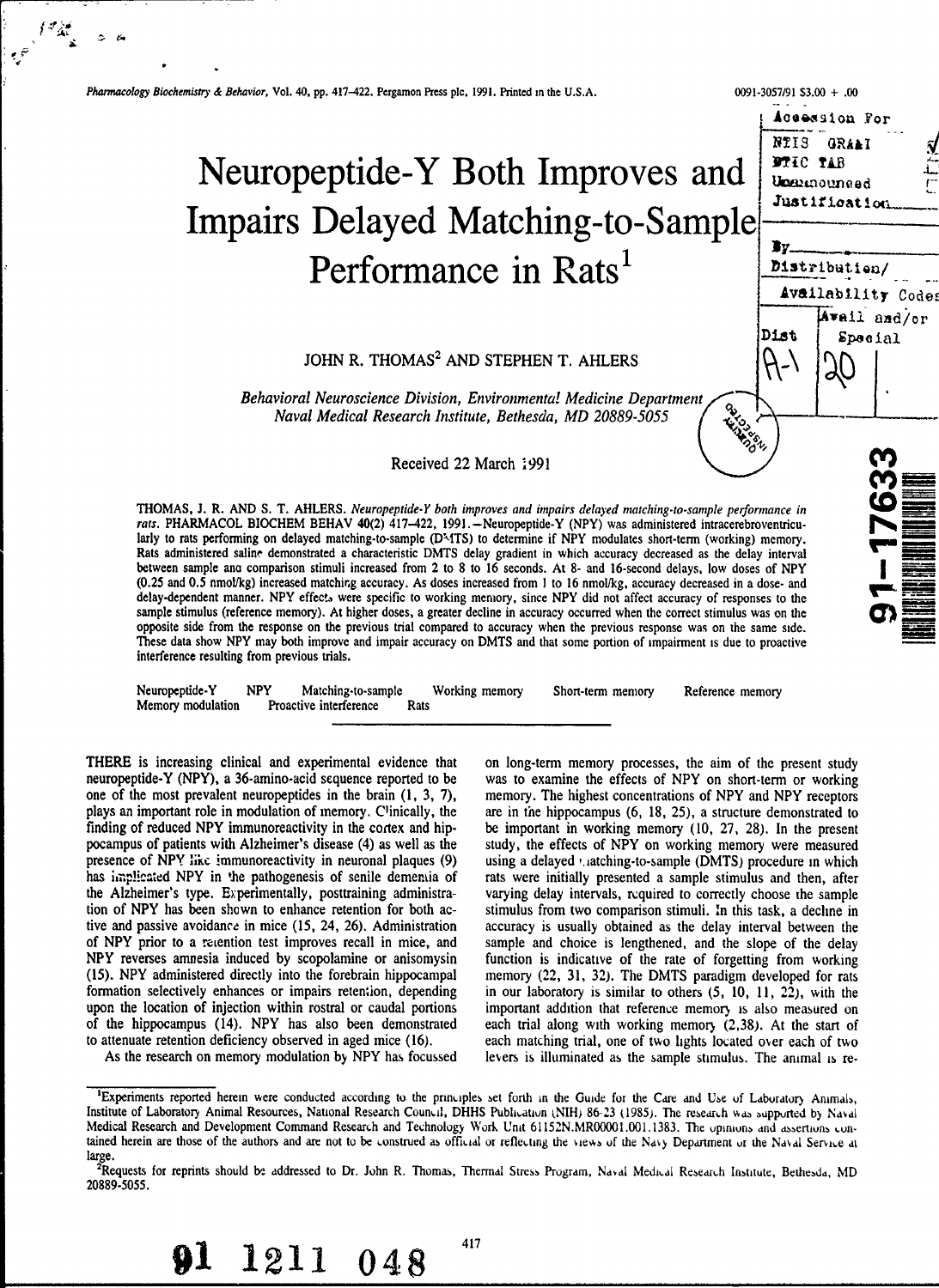*Pharmacology Biochemistry & Behavior,* Vol. 40, **pp.** 417-422. Pergamon Press plc. **1991.** Printed in the **U.S.A. 0091-3057/91 S3.00 + .00**

 $\frac{1}{2} \sum_{i=1}^{n}$ 

# Neuropeptide-Y Both Improves and **EXALE AB Impairs Delayed Matching-to-Sample** Performance in Rats<sup>1</sup>  $\frac{1}{\text{Distribution}/\text{Matrix}}$

# JOHN R. THOMAS<sup>2</sup> AND STEPHEN T. AHLERS

*Behavioral Neuroscience Division, Environmental Medicine Department Naval Medical Research Institute, Bethesda, MD 20889-5055* 

Received 22 March 1991 **.o**

THOMAS, **J.** R. **AND S.** T. AHLERS. Neuropeptide-Y both improves *and impairs delayed matching-to-sample performance in* **<sup>0</sup>** rats. PHARMACOL BIOCHEM BEHAV 40(2) 417-422, 1991. - Neuropeptide-Y (NPY) was administered intracerebroventricularly to rats performing on delayed matching-to-sample (D<sup>X</sup>ITS) to determine if NPY modulates short-term (working) memory. Rats administered saline demonstrated a characteristic DMTS delay gradient in which accuracy decreased as the delay interval between sample *ana* comparison stimuli increased from 2 to 8 to 16 seconds. At 8- and 16-second delays, low doses of NPY (0.25 and 0.5 nmol/kg) increased matching accuracy. As doses increased from I to 16 nmolkg, accuracy decreased in a dose- and delay-dependent manner. NPY effect, were specific to working memory, since NPY did not affect accuracy of responses to the sample stimulus (reference memory). At higher doses, a greater decline in accuracy occurred when the correct stimulus was on the opposite side from the response on the previous trial compared to accuracy when the previous response was on the same side. These data show NPY may both improve and impair accuracy on DMTS and that some portion of impairment is due to proactive interference resulting from previous trials.

Neuropeptide-Y NPY Matching-to-sample Working memory Short-term memory Reference memory Memory modulation Proactive interference Rats

THERE is increasing clinical and experimental evidence that on long-term memory processes, the aim of the present study of NPY prior to a retention test improves recall in mice, and sample and choice is lengthened, and the slope of the delay

neuropeptide-Y (NPY), a 36-amino-acid sequence reported to be was to examine the effects of NPY on short-term or working one of the most prevalent neuropeptides in the brain (1, 3, 7), memory. The highest concentrations of NPY and NPY receptors plays an important role in modulation of memory. Clinically, the are in the hippocampus (6, 18, 25), a structure demonstrated to finding of reduced NPY immunoreactivity in the cortex and hip-<br>pocampus of patients with Alzheimer's disease (4) as well as the study, the effects of NPY on working memory were measured study, the effects of NPY on working memory were measured presence of NPY like immunoreactivity in neuronal plaques (9) using a delayed , atching-to-sample (DMTS) procedure in which<br>has implicated NPY in the pathogenesis of senile dementia of rats were initially presented a sampl rats were initially presented a sample stimulus and then, after the Alzheimer's type. Experimentally, posttraining administra- varying delay intervals, rcquired to correctly choose the sample tion of NPY has been shown to enhance retention for both ac- stimulus from two comparison stimuli. In this task, a decline in tive and passive avoidance in mice  $(15, 24, 26)$ . Administration accuracy is usually obtained as the delay interval between the NPY reverses amnesia induced by scopolamine or anisomysin function is indicative of the rate of forgetting from working (15). NPY administered directly into the forebrain hippocampal memory (22, 31, 32). The DMTS paradigm developed for rats formation selectively enhances or impairs retention, depending in our laboratory is similar to others (5, 10, 11, 22), with the upon the location of injection within rostral or caudal portions important addition that reference memory is also measured on of the hippocampus (14). NPY has also been demonstrated each trial along with working memory (2,38). At the start of to attenuate retention deficiency observed in aged mice (16). each matching trial, one of two lights located over each of two As the research on memory modulation **by** NPY has focussed levers is illuminated as the sample stimulus. The animal is re-

Aceession For **NTIS GRhIl**

Avdlability Code Avail and/or **D.% special**

Dist

**91** 1211 048 417

<sup>&#</sup>x27;Experiments reported herein were conducted according to the pnnciples set forth in the Guide **for** the Care and Use of Laboratory Animalb, Institute of Laboratory Animal Resources, National Research Council, DHHS Publication (NIH) 86-23 (1985). The research was supported by Naval Medical Research and Development Command Research and Technology Work Unit 61152N.MR00001.001.1383. The opinions and assertions contained herein are those of the authors and are not to be construed as official or reflectin large.<br><sup>2</sup>Requests for reprints should be addressed to Dr. John R. Thomas, Thermal Stress Program, Naval Medical Research Institute, Bethesda, MD

<sup>20889-5055.</sup>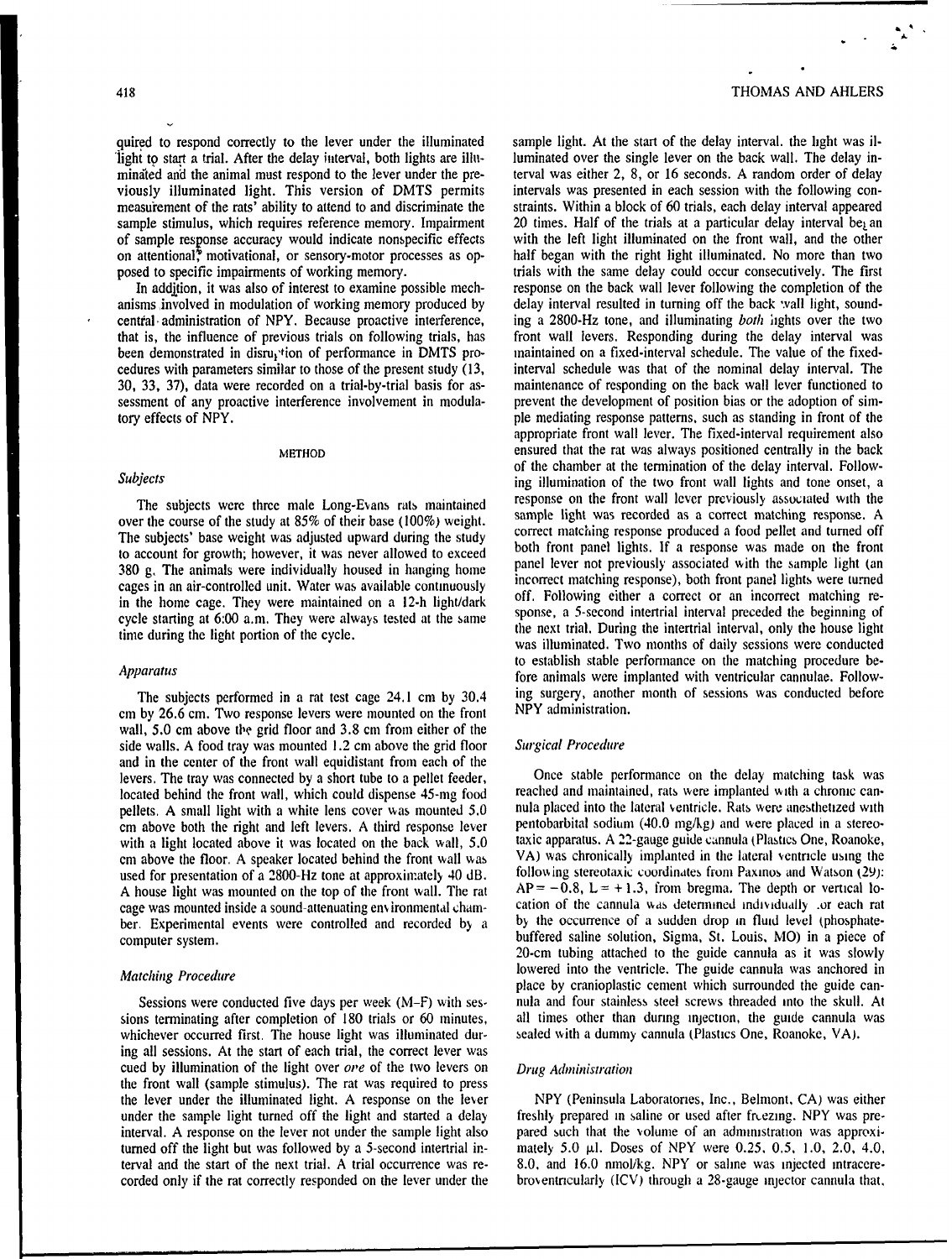'light to start a trial. After the delay interval, both lights are illo- luminated over the single lever on the back wall. The delay inviously illuminated light. This version of DMTS permits intervals was presented in each session with the following conmeasurement of the rats' ability to attend to and discriminate the straints. Within a block of **60** trials, each delay interval appeared

anisms involved in modulation of working memory produced by been demonstrated in disru<sub>i</sub>vion of performance in DMTS pro-<br>maintained on a fixed-interval schedule. The value of the fixed-interval schedule. The value of the fixed-

cycle starting at 6:00 a.m. They were always tested at the same

cm by 26.6 cm. Two response levers were mounted on the front wall, 5.0 cm above the grid floor and 3.8 cm from either of the side walls. A food tray was mounted 1.2 cm above the grid floor *Surgical Procedure* and in the center of the front wall equidistant from each of the levers. The tray was connected by a short tube to a pellet feeder, Once stable performance on the delay matching task was located behind the front wall, which could dispense 45-mg food reached and maintained, rats were imp located behind the front wall, which could dispense 45-mg food reached and maintained, rats were implanted with a chronic can-<br>nellets. A small light with a white lens cover was mounted 5.0 ulla placed into the lateral ven pellets. A small light with a white lens cover was mounted 5.0 nula placed into the lateral ventricle. Rats were anesthetized with cm above both the right and left levers. A third response lever pentobarbital sodium (40.0 cm above both the right and left levers. A third response lever with a light located above it was located on the back wall, 5.0 taxic apparatus. A 22-gauge guide cannula (Plastics One, Roanoke, cm above the floor. A speaker located behind the front wall was VA) was chronically implante cm above the floor. A speaker located behind the front wall was values of the chronically implanted in the lateral ventricle using the used for presentation of a 2800-Hz tone at approximately 40 dB. Collowing stereotaxic c used for presentation of a 2800-Hz tone at approximately 40 dB. A house light was mounted on the top of the front wall. The rat  $AP = -0.8$ ,  $L = +1.3$ , from bregma. The depth or vertical lo-<br>care was mounted inside a sound-attenuating environmental cham-<br>cation of the cannula was determin cage was mounted inside a sound-attenuating environmental cham-<br>her. Experimental events were controlled and recorded by a by the occurrence of a sudden drop in fluid level (phosphateber. Experimental events were controlled and recorded by a

sions terminating after completion of 180 trials or 60 minutes, all times other than during injection, the guide cannula was whichever occurred first. The house light was illuminated dur-<br>sealed with a dummy cannula (Plast whichever occurred first. The house light was illuminated during all sessions. At the start of each trial, the correct lever was cued by illumination of the light over *ore* of the two levers on *Drug Administration* the front wall (sample stimulus). The rat was required to press the lever under the illuminated light. A response on the lever NPY (Peninsula Laboratories, Inc., Belmont, CA) was either under the sample light turned off the light and started a delay freshly prepared in saline or used after freezing. NPY was preterval and the start of the next trial. A trial occurrence was re- 8.0, and 16.0 nmol/kg. NPY or saline was injected intracerecorded only if the rat correctly responded on the lever under the broventricularly (ICV) through a 28-gauge injector cannula that.

quired to respond correctly to the lever under the illuminated sample light. At the start of the delay interval, the light was ilminated and the animal must respond to the lever under the pre-<br>terval was either 2, 8, or 16 seconds. A random order of delay sample stimulus, which requires reference memory. Impairment  $20$  times. Half of the trials at a particular delay interval belan of sample response accuracy would indicate nonspecific effects with the left light illuminated on the front wall, and the other on attentional,<sup>\*</sup> motivational, or sensory-motor processes as op-<br>half began with the right light illuminated. No more than two posed to specific impairments of working memory.<br>In addition, it was also of interest to examine possible mech-<br>In addition, it was also of interest to examine possible mech-<br>response on the back wall lever following the c In addition, it was also of interest to examine possible mech-<br>
In addition, it was also of interest to examine possible mech-<br>
Interval response on the back wall leght, sound-<br>
Sims involved in modulation of working memor central administration of NPY. Because proactive interference, ing a 2800-Hz tone, and illuminating both iights over the two that is, the influence of previous trials on following trials, has front wall levers. Responding during the delay interval was cedures with parameters similar to those of the present study (13, interval schedule was that of the nominal delay interval. The **30,** 33, 37), data were recorded on a trial-by-trial basis for as- maintenance of responding on the back wall lever functioned to sessment of any proactive interference involvement in modula-<br>prevent the development of position bias or the adoption of simtory effects of NPY. **ple mediating response patterns**, such as standing in front of the appropriate front wall lever. The fixed-interval requirement also METHOD ensured that the rat was always positioned centrally in the back of the chamber at the termination of the delay interval. Follow-Subjects ing illumination of the two front wall lights and tone onset, a The subjects were three male Long-Evans rats maintained response on the front wall lever previously associated with the over the course of the study at 85% of their base (100%) weight. Sample light was recorded as a correct matching response. A cover the course of the study at 85% of their base (100%) weight. The subjects' base weight was adjusted upward during the study<br>The subjects' base weight was adjusted upward during the study<br>to account for growth: however, it was never allowed to axceed<br>to the front panel lights. If a to account for growth; however, it was never allowed to exceed<br>380 g. The animals were individually boused in banging home panel lever not previously associated with the sample light (an 380 g. The animals were individually housed in hanging home panel lever not previously associated with the sample light (an angle in the sample light (an angle in the sample light (an angle in the sample light (an angle in cages in an air-controlled unit. Water was available continuously<br>in the home case. They were mainteined on a 12 h light/der off. Following either a correct or an incorrect matching rein the home cage. They were maintained on a 12-h light/dark of . Following either a correct or an incorrect matching re-<br>sponse, a 5-second intertrial interval preceded the beginning of time during the light portion of the cycle. the next trial. During the intertrial interval, only the house light time during the light portion of the cycle. was illuminated. Two months of daily sessions were conducted to establish stable perfornance on the matching procedure be-*Apparatus Apparatus Apparatus Apparatus Apparatus Apparatus Apparatus Apparatus Apparatus Apparatus Apparatus Apparatus Apparatus Apparatus Apparatus Apparatus* The subjects performed in a rat test cage 24.1 cm by  $30.4$  ing surgery, another month of sessions was conducted before by  $26.6 \text{ cm}$ . Two response levers were mounted on the front NPY administration.

computer system. buffered saline solution, Sigma, St. Louis, MO) in a piece of 20-cm tubing attached to the guide cannula as it was slowly *Matching Procedure* **lowered** into the ventricle. The guide cannula was anchored in **lowered** in the ventricle. The guide cannula was anchored in place by cranioplastic cement which surrounded the guide can-Sessions were conducted five days per week (M-F) with ses- nula and four stainless steel screws threaded into the skull. At

interval. A response on the lever not under the sample light also pared such that the volume of an administration was approxiturned off the light but was followed by a 5-second intertrial in-<br>mately 5.0 μl. Doses of NPY were 0.25, 0.5, 1.0, 2.0, 4.0,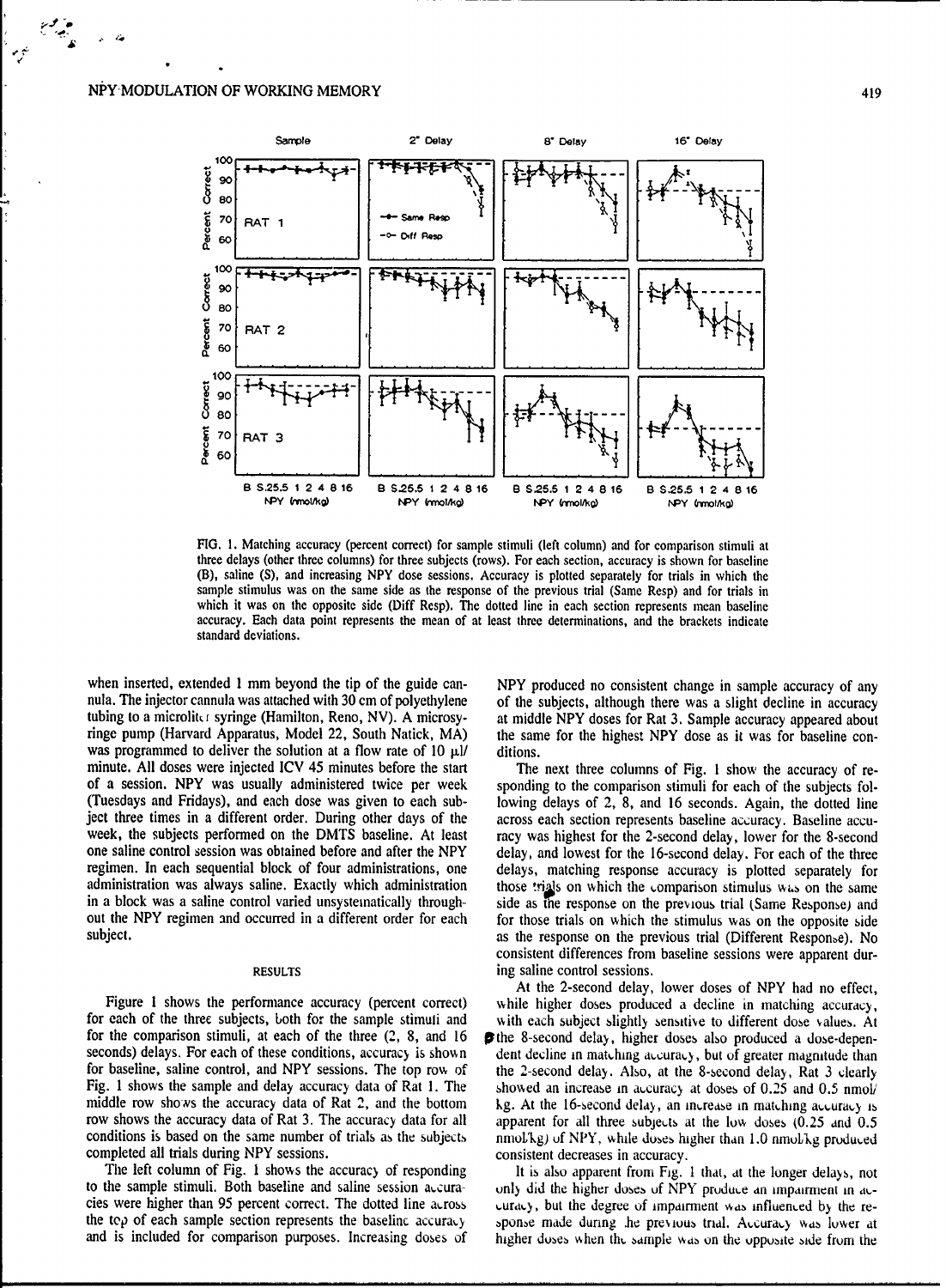

FIG. **I.** Matching accuracy (percent correct) for sample stimuli (left column) and for comparison stimuli at three delays (other three columns) for three subjects (rows). For each section, accuracy is shown for baseline (B), saline (S), and increasing NPY dose sessions. Accuracy is plotted separately for trials in which the sample stimulus was on the same side as the response of the previous trial (Same Resp) and for trials in which it was on the opposite side (Diff Resp). The dotted line in each section represents mean baseline accuracy. Each data point represents the mean of at least three determinations, and the brackets indicate standard deviations.

when inserted, extended 1 mm beyond the tip of the guide can-<br>nula. The injector cannula was attached with 30 cm of polyethylene of the subjects, although there was a slight decline in accuracy was programmed to deliver the solution at a flow rate of  $10 \mu l$  ditions. minute. All doses were injected ICV 45 minutes before the start<br>of a session. NPY was usually administered twice per week sponding to the comparison stimuli for each of the subjects fol-(Tuesdays and Fridays), and each dose was given to each sub- lowing delays of 2, 8, and 16 seconds. Again, the dotted line ject three times in a different order. During other days of the across each section represents baseline accuracy. Baseline accu week, the subjects performed on the DMTS baseline. At least racy was highest for the 2-second delay, lower for the 8-second one saline control session was obtained before and after the NPY delay, and lowest for the 16-second delay. For each of the three regimen. In each sequential block of four administrations, one delays, matching response accuracy is plotted separately for administration was always saline. Exactly which administration those trials on which the comparison stimulus was on the same in a block was a saline control varied unsystematically through-<br>is side as the response on the p out the NPY regimen and occurred in a different order for each for those trials on which the stimulus was on the opposite side

completed all trials during NPY sessions. consistent decreases in accuracy.

to the sample stimuli. Both baseline and saline session accura- only did the higher doses **of** NPY produce an impairment in aw cies were higher than 95 percent correct. The dotted line across curacy, but the degree of impairment was influenced by the re-<br>the top of each sample section represents the baselinc accuracy sponse made during the previou

nula. The injector cannula was attached with 30 cm of polyethylene of the subjects, although there was a slight decline in accuracy<br>tubing to a microliter syringe (Hamilton, Reno, NV). A microsy- at middle NPY doses for Ra inge pump (Harvard Apparatus, Model 22, South Natick, MA) the same for the highest NPY dose as it was for baseline con-

subject. As the response on the previous trial (Different Response). No consistent differences from baseline sessions were apparent dur-**RESULTS** ing saline control sessions.

At the 2-second delay, lower doses of NPY had no effect,<br>Figure 1 shows the performance accuracy (percent correct) while higher doses produced a decline in matching accuracy, for each of the three subjects, both for the sample stimuli and with each subject slightly sensitive to different dose values. At for the comparison stimuli, at each of the three  $(2, 8,$  and  $16$  p the 8-second delay, higher doses also produced a dose-depenseconds) delays. For each of these conditions, accuracy is shown dent decline in matching accuracy, but of greater magnitude than for baseline, saline control, and NPY sessions. The top row of the 2-second delay. Also, at the 8-second delay, Rat 3 clearly Fig. 1 shows the sample and delay accuracy data of Rat **1.** The showed an increase in accuracy at doses of 0.25 and **0.5** nmoi middle row shows the accuracy data of Rat 2, and the bottom kg. At the 16-second delay, an increase in matching accuracy is row shows the accuracy data of Rat 3. The accuracy data for all apparent for all three subjects at conditions is based on the same number of trials as the subjects nmoL'kg) of NPY, while doses higher than 1.0 nmoL'kg produced

The left column of Fig. 1 shows the accuracy of responding It is also apparent from Fig. 1 that, at the longer delays, not and is included for comparison purposes. Increasing doses of higher doses when the sample was on the opposite side from the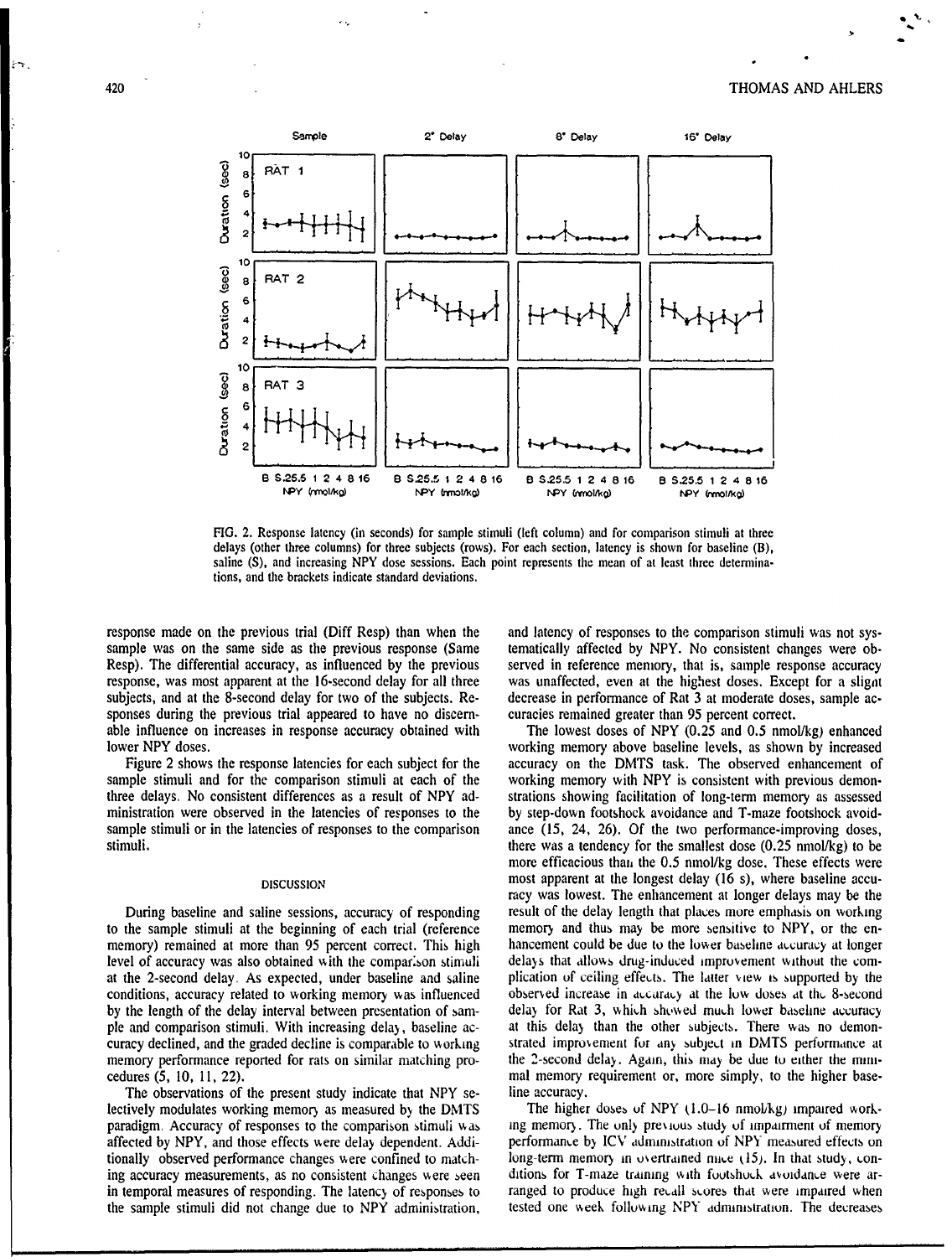

FIG. 2. Response latency (in seconds) for sample stimuli (left column) and for comparison stimuli at three delays (other three columns) for three subjects (rows). For each section, latency is shown for baseline (B), saline (S), and increasing NPY dose sessions. Each point represents the mean of at least three determinations, and the brackets indicate standard deviations.

sample was on the same side as the previous response (Same tematically affected by NPY. No consistent changes were ob-Resp). The differential accuracy, as influenced by the previous served in reference memory, that is, sample response accuracy response, was most apparent at the 16-second delay for all three was unaffected, even at the highest doses. Except for a sligat subjects, and at the 8-second delay for two of the subjects. Re- decrease in performance of Rat 3 at moderate doses, sample acsponses during the previous trial appeared to have no discern- curacies remained greater than 95 percent correct. able influence on increases in response accuracy obtained with The lowest doses of NPY (0.25 and 0.5 nmollkg) enhanced

sample stimuli and for the comparison stimuli at each of the working memory with NPY is consistent with previous demonthree delays. No consistent differences as a result of NPY ad- strations showing facilitation of long-term memory as assessed ministration were observed in the latencies of responses to the by step-down footshock avoidance and T-maze footshock avoidsample stimuli or in the latencies of responses to the comparison ance (15, 24, 26). Of the two performance-improving doses, stimuli. there was a tendency for the smallest dose (0.25 nmol/kg) to be

to the sample stimuli at the beginning of each trial (reference memory and thus may be more sensitive to NPY, or the enmemory) remained at more than 95 percent correct. This high hancement could be due to the lower baseline accuracy at longer level of accuracy was also obtained with the comparison stimuli delays that allows drug-induced improvement without the comat the 2-second delay. As expected, under baseline and saline plication of ceiling effects. The latter view is supported by the conditions, accuracy related to working memory was influenced observed increase in accuracy at the low doses at the 8-second by the length of the delay interval between presentation of sam-<br>delay for Rat 3, which showed much lower baseline accuracy pie and comparison stimuli. With increasing delay, baseline ac- at this delay than the other subjects. There was no demoncuracy declined, and the graded decline is comparable to working strated improement *for any* subje.t in DMTS performance at memory performance reported for rats on similar matching pro-<br>the 2-second delay. Again, this may be due to either the minicedures (5, 10, 11, 22). mal memory requirement or, more simply, to the higher base-

The observations of the present study indicate that NPY se-<br>line accuracy. lectively modulates working memory as measured **by** the DMTS The higher doses of NPY (1.0-16 nmolikg) impaired work-

response made on the previous trial (Diff Resp) than when the and latency of responses to the comparison stimuli was not sys-

lower NPY doses. working memory above baseline levels, as shown by increased Figure 2 shows the response latencies for each subject for the accuracy on the DMTS task. The observed enhancement of more efficacious than the 0.5 nmol/kg dose. These effects were **DISCUSSION most apparent at the longest delay (16 s), where baseline accu-** racy was lowest. The enhancement at longer delays may be the During baseline and saline sessions, accuracy of responding result of the delay length that places more emphasis on working

paradigm Accuracy of responses to the comparison stimuli was ing memory. The only precious study **of** impairment of memory affected **by** NPY, and those effects were delay dependent. Addi- performance **by** ICV administration of NPY measured effects on tionally observed performance changes were confined to match-<br>long-term memory in overtrained nnie (15). In that study, coning accuracy measurements, as no consistent changes were seen ditions for T-maze training with footshock avoidance were arin temporal measures of responding. The latency of responses to ranged to produce high recall scores that were impaired when the sample stimuli did not change due to NPY administration, tested one week following NPY administration. The decreases

 $\rightarrow$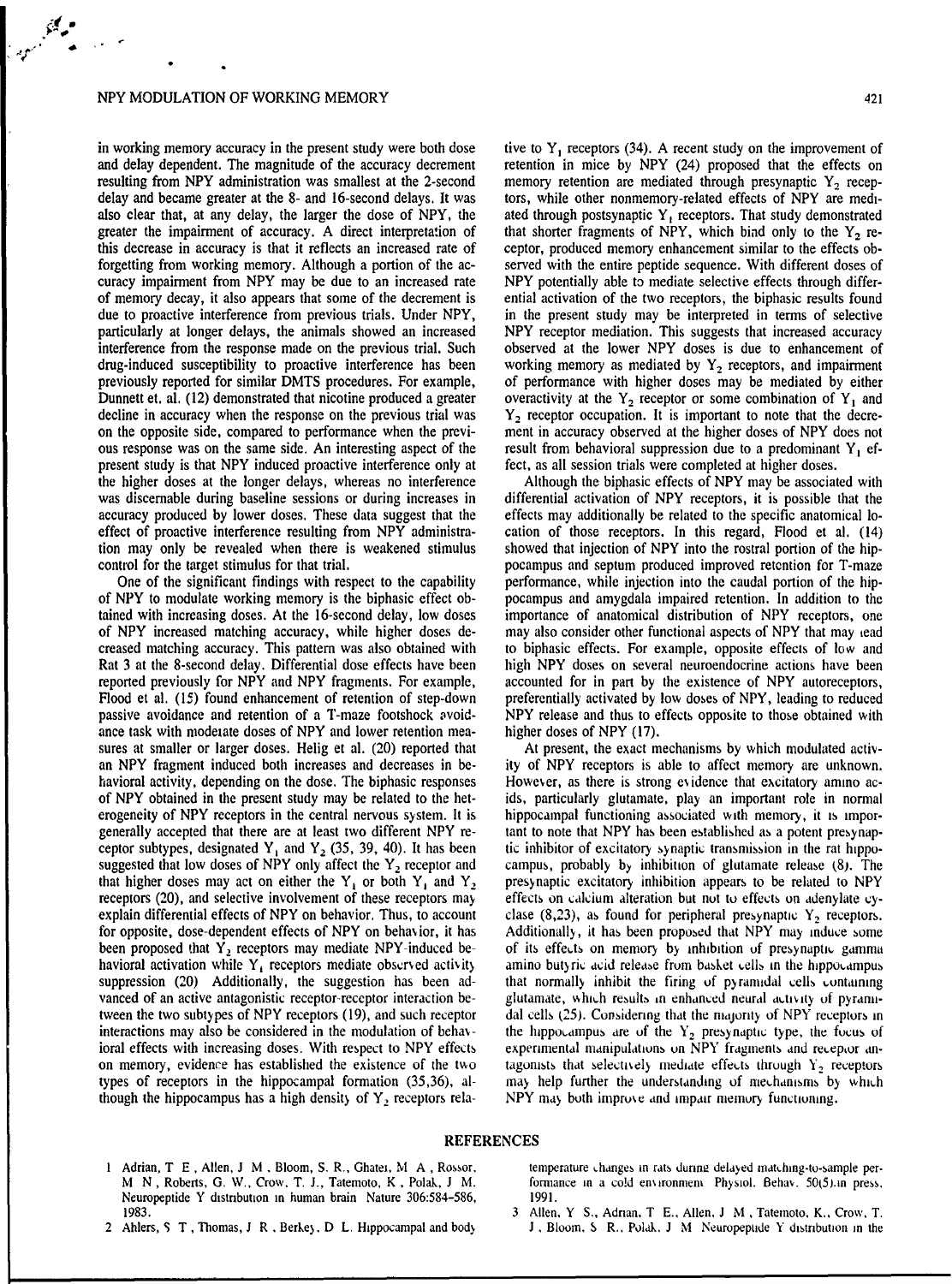### NPY MODULATION OF WORKING MEMORY 421

and delay dependent. The magnitude of the accuracy decrement retention in mice by NPY (24) proposed that the effects on resulting from NPY administration was smallest at the 2-second memory retention are mediated through presynaptic  $Y_2$  recep-<br>delay and became greater at the 8- and 16-second delays. It was tors, while other nonmemory-rel also clear that, at any delay, the larger the dose of NPY, the ated through postsynaptic  $Y_1$  receptors. That study demonstrated greater the impairment of accuracy. A direct interpretation of that shorter fragments of NP greater the impairment of accuracy. A direct interpretation of that shorter fragments of NPY, which biad only to the  $Y_2$  re-<br>this decrease in accuracy is that it reflects an increased rate of ceptor, produced memory enh forgetting from working memory. Although a portion of the ac- served with the entire peptide sequence. With different doses of curacy impairment from NPY may be due to an increased rate NPY potentially able to mediate selective effects through differof memory decay, it also appears that some of the decrement is ential activation of the two receptors, the biphasic results found due to proactive interference from previous trials. Under NPY, in the present study may be interpreted in terms of selective particularly at longer delays, the animals showed an increased NPY receptor mediation. This suggests that increased accuracy interference from the response made on the previous trial. Such observed at the lower NPY doses is due to enhancement of drug-induced susceptibility to proactive interference has been working memory as mediated by  $Y_2$  receptors, and impairment previously reported for similar DMTS procedures. For example, of performance with higher doses m Dunnett et. al. (12) demonstrated that nicotine produced a greater overactivity at the  $Y_2$  receptor or some combination of  $Y_1$  and decline in accuracy when the response on the previous trial was  $Y_2$  receptor occupat decline in accuracy when the response on the previous trial was  $Y_2$  receptor occupation. It is important to note that the decre-<br>on the opposite side, compared to performance when the previ-<br>ment in accuracy observed at ous response was on the same side. An interesting aspect of the result from behavioral suppression due to a predominant  $Y_1$  efpresent study is that NPY induced proactive interference only at fect, as all session trials were completed at higher doses. the higher doses at the longer delays, whereas no interference Although the biphasic effects of NPY may be associated with was discerable during baseline sessions or during increases in differential activation of NPY receptors, it is possible that the accuracy produced by lower doses. These data suggest that the effects may additionally be related to the specific anatomical loeffect of proactive interference resulting from NPY administra- cation of those receptors. In this regard, Flood et al. (14) tion may only be revealed when there is weakened stimulus showed that injection of NPY into the rostral portion of the hip-

of NPY to modulate working memory is the biphasic effect ob- pocampus and amygdala impaired retention. In addition to the tained with increasing doses. At the 16-second delay, low doses importance of anatomical distribution of NPY receptors, one of NPY increased matching accuracy, while higher doses de- may also consider other functional aspects of NPY that may read creased matching accuracy. This pattern was also obtained with to biphasic effects. For example, opposite effects of low and Rat 3 at the 8-second delay. Differential dose effects have been high NPY doses on several neuroendocrine actions have been reported previously for NPY and NPY fragments. For example, accounted for in part by the existence of NPY autoreceptors, Flood et al. (15) found enhancement of retention of step-down preferentially activated by low doses of NPY, leading to reduced passive avoidance and retention of a T-maze footshock avoid- NPY release and thus to effects opposite to those obtained with ance task with moderate doses of NPY and lower retention mea-<br>higher doses of NPY (17). sures at smaller or larger doses. Helig et al. (20) reported that At present, the exact mechanisms by which modulated activan NPY fragment induced both increases and decreases in be- ity of NPY receptors is able to affect memory are unknown. havioral activity, depending on the dose. The biphasic responses However, as there is strong evidence that excitatory amino acof NPY obtained in the present study may be related to the het- ids, particularly glutamate, play an important role in normal erogeneity of NPY receptors in the central nervous system. It is hippocampal functioning associated with memory, it is imporgenerally accepted that there are at least two different NPY re- tant to note that NPY has been established as a potent presynapceptor subtypes, designated  $Y_1$  and  $Y_2$  (35, 39, 40). It has been tic inhibitor of excitatory synaptic transmission in the rat hippo-<br>suggested that low doses of NPY only affect the  $Y_2$  receptor and campus, probably suggested that low doses of NPY only affect the Y<sub>2</sub> receptor and that higher doses may act on either the Y<sub>1</sub> or both Y<sub>1</sub> and Y<sub>2</sub> presynaptic excitatory inhibition appears to be related to NPY receptors (20), and selective involvement of these receptors may effects on calcium alteration but not to effects on adenylate cyexplain differential effects of NPY on behavior. Thus, to account clase  $(8,23)$ , as found for peripheral presynaptic Y<sub>2</sub> receptors. for opposite, dose-dependent effects of NPY on behavior, it has Additionally, it has been proposed that NPY may induce some been proposed that  $Y_2$  receptors may mediate NPY-induced be- of its effects on memory by inhibition of presynaptic gamma havioral activation while  $Y_i$  receptors mediate observed activity amino butyric acid release from basket cells in the hippocampus suppression (20) Additionally, the suggestion has been ad-<br>that normally inhibit the firing of pyramidal cells containing vanced of an active antagonistic receptor-receptor interaction be- glutamate, which results in enhanced neural activity of pyraniitween the two subtypes of NPY receptors (19), and such receptor dal cells (25). Considering that the majority of NPY receptors in interactions may also be considered in the modulation of behav-<br>the hippocampus are of the  $Y_2$  presynaptic type, the focus of ioral effects with increasing doses. With respect to NPY effects experimental manipulations on NPY fragments and recepor anon memory, evidence has established the existence of the two tagonists that selectively mediate effects through Y<sub>2</sub> receptors types of receptors in the hippocampal formation (35,36), al-<br>may help further the understanding of mechanisms by which

in working memory accuracy in the present study were both dose tive to  $Y_1$  receptors (34). A recent study on the improvement of tors, while other nonmemory-related effects of NPY are mediceptor, produced memory enhancement similar to the effects obof performance with higher doses may be mediated by either ment in accuracy observed at the higher doses of NPY does not

control for the target stimulus for that trial. pocampus and septum produced improved retention for T-maze One of the significant findings with respect to the capability performance, while injection into the caudal portion of the hip-

though the hippocampus has a high density of  $Y_2$  receptors rela- NPY may both improve and impair memory functioning.

## REFERENCES

- **I** Adrian, T E, Allen, J M, Bloom, S. R., Ghatei, M A, Rossor. temperature changes in rats during delayed matching-to-sample per-Neuropeptide Y distribution in human brain Nature 306:584-586, 1991.
- 

M N, Roberts, G. W., Crow, T. J., Tatemoto, K, Polak, J M. formance in a cold environment Physiol. Behav. 50(5).in press,

1983. 3 Allen, Y **S.,** Adrian, T *E.,* Allen. J M **,** Tatemoto. K., Crow. T. 2 Ahlers, S T , Thomas, J R . Berkey, D L. Hippocampal and body J, Bloom, S R., Polak, J M Neuropeptide Y distribution in the